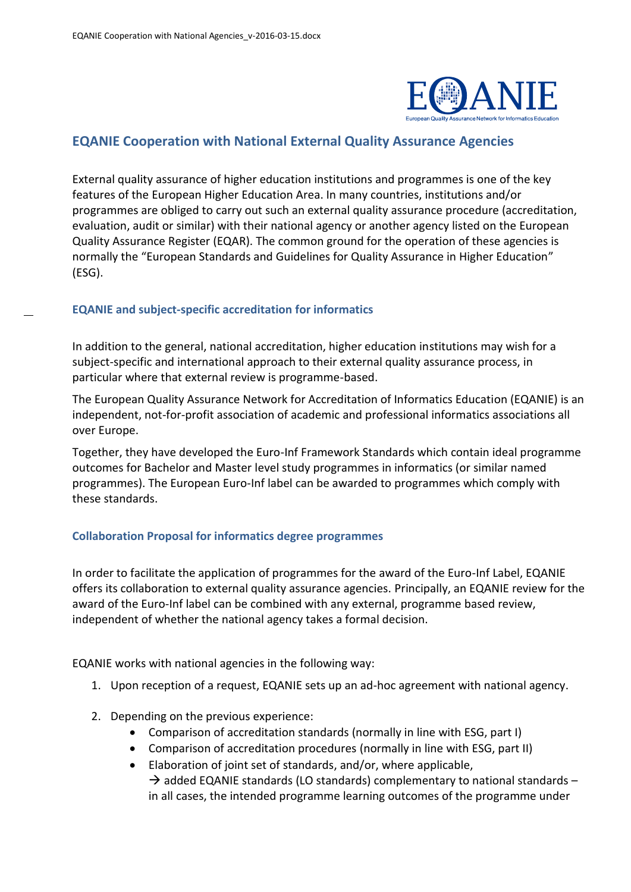

## **EQANIE Cooperation with National External Quality Assurance Agencies**

External quality assurance of higher education institutions and programmes is one of the key features of the European Higher Education Area. In many countries, institutions and/or programmes are obliged to carry out such an external quality assurance procedure (accreditation, evaluation, audit or similar) with their national agency or another agency listed on the European Quality Assurance Register (EQAR). The common ground for the operation of these agencies is normally the "European Standards and Guidelines for Quality Assurance in Higher Education" (ESG).

#### **EQANIE and subject-specific accreditation for informatics**

In addition to the general, national accreditation, higher education institutions may wish for a subject-specific and international approach to their external quality assurance process, in particular where that external review is programme-based.

The European Quality Assurance Network for Accreditation of Informatics Education (EQANIE) is an independent, not-for-profit association of academic and professional informatics associations all over Europe.

Together, they have developed the Euro-Inf Framework Standards which contain ideal programme outcomes for Bachelor and Master level study programmes in informatics (or similar named programmes). The European Euro-Inf label can be awarded to programmes which comply with these standards.

#### **Collaboration Proposal for informatics degree programmes**

In order to facilitate the application of programmes for the award of the Euro-Inf Label, EQANIE offers its collaboration to external quality assurance agencies. Principally, an EQANIE review for the award of the Euro-Inf label can be combined with any external, programme based review, independent of whether the national agency takes a formal decision.

EQANIE works with national agencies in the following way:

- 1. Upon reception of a request, EQANIE sets up an ad-hoc agreement with national agency.
- 2. Depending on the previous experience:
	- Comparison of accreditation standards (normally in line with ESG, part I)
	- Comparison of accreditation procedures (normally in line with ESG, part II)
	- Elaboration of joint set of standards, and/or, where applicable,  $\rightarrow$  added EQANIE standards (LO standards) complementary to national standards – in all cases, the intended programme learning outcomes of the programme under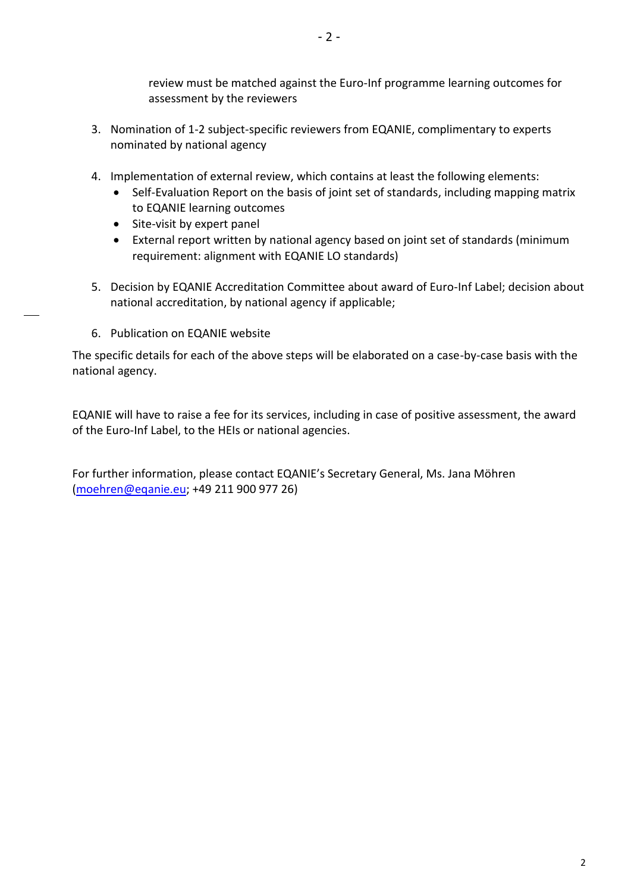- 2 -

review must be matched against the Euro-Inf programme learning outcomes for assessment by the reviewers

- 3. Nomination of 1-2 subject-specific reviewers from EQANIE, complimentary to experts nominated by national agency
- 4. Implementation of external review, which contains at least the following elements:
	- Self-Evaluation Report on the basis of joint set of standards, including mapping matrix to EQANIE learning outcomes
	- Site-visit by expert panel
	- External report written by national agency based on joint set of standards (minimum requirement: alignment with EQANIE LO standards)
- 5. Decision by EQANIE Accreditation Committee about award of Euro-Inf Label; decision about national accreditation, by national agency if applicable;
- 6. Publication on EQANIE website

The specific details for each of the above steps will be elaborated on a case-by-case basis with the national agency.

EQANIE will have to raise a fee for its services, including in case of positive assessment, the award of the Euro-Inf Label, to the HEIs or national agencies.

For further information, please contact EQANIE's Secretary General, Ms. Jana Möhren [\(moehren@eqanie.eu;](mailto:moehren@eqanie.eu) +49 211 900 977 26)